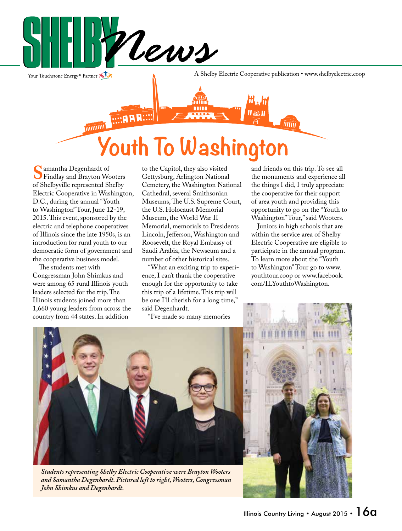

**08** 

Your Touchstone Energy® Partner

A Shelby Electric Cooperative publication • www.shelbyelectric.coop

**THITTE** munun Youth To Washington

m

**S**amantha Degenhardt of Findlay and Brayton Wooters of Shelbyville represented Shelby Electric Cooperative in Washington, D.C., during the annual "Youth to Washington" Tour, June 12-19, 2015. This event, sponsored by the electric and telephone cooperatives of Illinois since the late 1950s, is an introduction for rural youth to our democratic form of government and the cooperative business model.

 The students met with Congressman John Shimkus and were among 65 rural Illinois youth leaders selected for the trip. The Illinois students joined more than 1,660 young leaders from across the country from 44 states. In addition

to the Capitol, they also visited Gettysburg, Arlington National Cemetery, the Washington National Cathedral, several Smithsonian Museums, The U.S. Supreme Court, the U.S. Holocaust Memorial Museum, the World War II Memorial, memorials to Presidents Lincoln, Jefferson, Washington and Roosevelt, the Royal Embassy of Saudi Arabia, the Newseum and a number of other historical sites.

 "What an exciting trip to experience, I can't thank the cooperative enough for the opportunity to take this trip of a lifetime. This trip will be one I'll cherish for a long time," said Degenhardt.

"I've made so many memories

and friends on this trip. To see all the monuments and experience all the things I did, I truly appreciate the cooperative for their support of area youth and providing this opportunity to go on the "Youth to Washington" Tour," said Wooters.

 Juniors in high schools that are within the service area of Shelby Electric Cooperative are eligible to participate in the annual program. To learn more about the "Youth to Washington" Tour go to www. youthtour.coop or www.facebook. com/ILYouthtoWashington.



*Students representing Shelby Electric Cooperative were Brayton Wooters and Samantha Degenhardt. Pictured left to right, Wooters, Congressman John Shimkus and Degenhardt.*

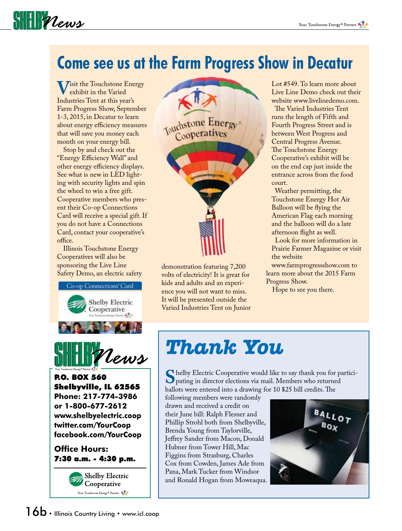#### **Come see us at the Farm Progress Show in Decatur**

**V**isit the Touchstone Energy exhibit in the Varied Industries Tent at this year's Farm Progress Show, September 1-3, 2015, in Decatur to learn about energy efficiency measures that will save you money each month on your energy bill.

SHIPPLews

 Stop by and check out the "Energy Efficiency Wall" and other energy efficiency displays. See what is new in LED lighting with security lights and spin the wheel to win a free gift. Cooperative members who present their Co-op Connections Card will receive a special gift. If you do not have a Connections Card, contact your cooperative's office.

 Illinois Touchstone Energy Cooperatives will also be sponsoring the Live Line





P.O. BOX 560 Shelbyville, IL 62565 **Phone: 217-774-3986 or 1-800-677-2612 www.shelbyelectric.coop twitter.com/YourCoop facebook.com/YourCoop**

#### **Office Hours:** 7:30 a.m. - 4:30 p.m.





Safety Demo, an electric safety demonstration featuring 7,200 volts of electricity! It is great for kids and adults and an experience you will not want to miss. It will be presented outside the Varied Industries Tent on Junior Lot #549. To learn more about Live Line Demo check out their website www.livelinedemo.com.

 The Varied Industries Tent runs the length of Fifth and Fourth Progress Street and is between West Progress and Central Progress Avenue. The Touchstone Energy Cooperative's exhibit will be on the end cap just inside the entrance across from the food court.

 Weather permitting, the Touchstone Energy Hot Air Balloon will be flying the American Flag each morning and the balloon will do a late afternoon flight as well.

 Look for more information in Prairie Farmer Magazine or visit the website

www.farmprogressshow.com to learn more about the 2015 Farm Progress Show.

Hope to see you there.

#### *Thank You*

Shelby Electric Cooperative would like to say thank you for partici-<br>pating in director elections via mail. Members who returned<br>hallots were entered into a drawing for 10 \$25 bill credits. The ballots were entered into a drawing for 10 \$25 bill credits. The

following members were randomly drawn and received a credit on their June bill: Ralph Flesner and Phillip Strohl both from Shelbyville, Brenda Young from Taylorville, Jeffrey Sander from Macon, Donald Hubner from Tower Hill, Mac Figgins from Strasburg, Charles Cox from Cowden, James Ade from Pana, Mark Tucker from Windsor and Ronald Hogan from Moweaqua.

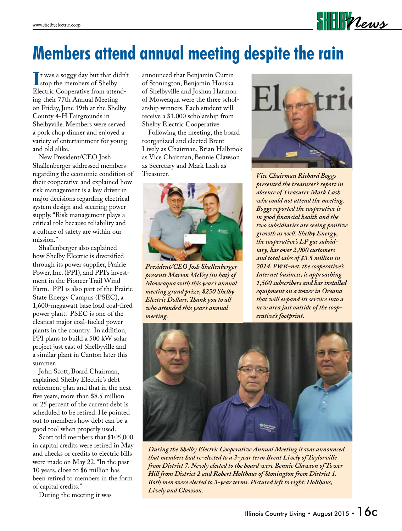## **Members attend annual meeting despite the rain**

It was a soggy day but that didn't<br>
stop the members of Shelby<br>
Electric Cooperative from attendstop the members of Shelby Electric Cooperative from attending their 77th Annual Meeting on Friday, June 19th at the Shelby County 4-H Fairgrounds in Shelbyville. Members were served a pork chop dinner and enjoyed a variety of entertainment for young and old alike.

 New President/CEO Josh Shallenberger addressed members regarding the economic condition of their cooperative and explained how risk management is a key driver in major decisions regarding electrical system design and securing power supply. "Risk management plays a critical role because reliability and a culture of safety are within our mission."

 Shallenberger also explained how Shelby Electric is diversified through its power supplier, Prairie Power, Inc. (PPI), and PPI's investment in the Pioneer Trail Wind Farm. PPI is also part of the Prairie State Energy Campus (PSEC), a 1,600-megawatt base load coal-fired power plant. PSEC is one of the cleanest major coal-fueled power plants in the country. In addition, PPI plans to build a 500 kW solar project just east of Shelbyville and a similar plant in Canton later this summer.

 John Scott, Board Chairman, explained Shelby Electric's debt retirement plan and that in the next five years, more than \$8.5 million or 25 percent of the current debt is scheduled to be retired. He pointed out to members how debt can be a good tool when properly used.

 Scott told members that \$105,000 in capital credits were retired in May and checks or credits to electric bills were made on May 22. "In the past 10 years, close to \$6 million has been retired to members in the form of capital credits."

During the meeting it was

announced that Benjamin Curtin of Stonington, Benjamin Houska of Shelbyville and Joshua Harmon of Moweaqua were the three scholarship winners. Each student will receive a \$1,000 scholarship from Shelby Electric Cooperative.

 Following the meeting, the board reorganized and elected Brent Lively as Chairman, Brian Halbrook as Vice Chairman, Bennie Clawson as Secretary and Mark Lash as



*President/CEO Josh Shallenberger presents Marion McVey (in hat) of Moweaqua with this year's annual meeting grand prize, \$250 Shelby Electric Dollars. Thank you to all who attended this year's annual meeting.*



 $\textbf{SHE}$ 

**Vice Chairman Richard Boggs** *presented the treasurer's report in absence of Treasurer Mark Lash who could not attend the meeting. Boggs reported the cooperative is in good financial health and the two subsidiaries are seeing positive growth as well. Shelby Energy, the cooperative's LP gas subsidiary, has over 2,000 customers and total sales of \$3.5 million in 2014. PWR-net, the cooperative's Internet business, is approaching 1,500 subscribers and has installed equipment on a tower in Oreana that will expand its service into a new area just outside of the cooperative's footprint.* 



*During the Shelby Electric Cooperative Annual Meeting it was announced that members had re-elected to a 3-year term Brent Lively of Taylorville from District 7. Newly elected to the board were Bennie Clawson of Tower Hill from District 2 and Robert Holthaus of Stonington from District 1. Both men were elected to 3-year terms. Pictured left to right: Holthaus, Lively and Clawson.*